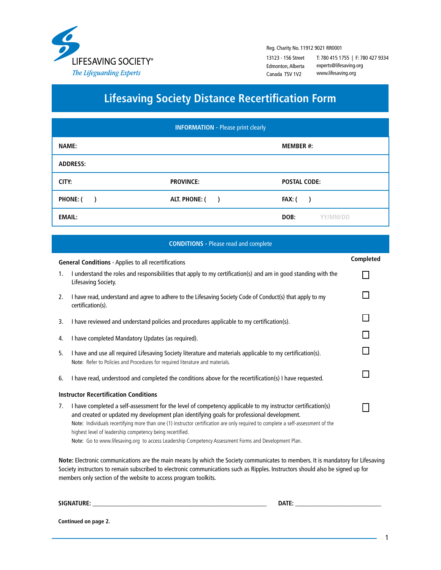

Reg. Charity No. 11912 9021 RR0001

13123 - 156 Street Edmonton, Alberta Canada T5V 1V2

T: 780 415 1755 | F: 780 427 9334 experts@lifesaving.org www.lifesaving.org

## **Lifesaving Society Distance Recertification Form**

| <b>INFORMATION - Please print clearly</b> |                                |                     |  |  |
|-------------------------------------------|--------------------------------|---------------------|--|--|
| <b>NAME:</b>                              |                                | <b>MEMBER #:</b>    |  |  |
| <b>ADDRESS:</b>                           |                                |                     |  |  |
| CITY:                                     | <b>PROVINCE:</b>               | <b>POSTAL CODE:</b> |  |  |
| PHONE: (                                  | ALT. PHONE: (<br>$\rightarrow$ | Fax: (              |  |  |
| <b>EMAIL:</b>                             |                                | DOB:<br>YY/MM/DD    |  |  |

**CONDITIONS -** Please read and complete

|                                                                                                                                                                                                                                                                                                                                       | <b>General Conditions - Applies to all recertifications</b>                                                                                                                                                                                                                                                                                                                                                                                                                                                         | Completed |
|---------------------------------------------------------------------------------------------------------------------------------------------------------------------------------------------------------------------------------------------------------------------------------------------------------------------------------------|---------------------------------------------------------------------------------------------------------------------------------------------------------------------------------------------------------------------------------------------------------------------------------------------------------------------------------------------------------------------------------------------------------------------------------------------------------------------------------------------------------------------|-----------|
| 1.                                                                                                                                                                                                                                                                                                                                    | I understand the roles and responsibilities that apply to my certification(s) and am in good standing with the<br>Lifesaving Society.                                                                                                                                                                                                                                                                                                                                                                               |           |
| 2.                                                                                                                                                                                                                                                                                                                                    | I have read, understand and agree to adhere to the Lifesaving Society Code of Conduct(s) that apply to my<br>certification(s).                                                                                                                                                                                                                                                                                                                                                                                      |           |
| 3.                                                                                                                                                                                                                                                                                                                                    | I have reviewed and understand policies and procedures applicable to my certification(s).                                                                                                                                                                                                                                                                                                                                                                                                                           |           |
| 4.                                                                                                                                                                                                                                                                                                                                    | I have completed Mandatory Updates (as required).                                                                                                                                                                                                                                                                                                                                                                                                                                                                   |           |
| 5.                                                                                                                                                                                                                                                                                                                                    | I have and use all required Lifesaving Society literature and materials applicable to my certification(s).<br>Note: Refer to Policies and Procedures for required literature and materials.                                                                                                                                                                                                                                                                                                                         |           |
| 6.                                                                                                                                                                                                                                                                                                                                    | I have read, understood and completed the conditions above for the recertification(s) I have requested.                                                                                                                                                                                                                                                                                                                                                                                                             |           |
| <b>Instructor Recertification Conditions</b>                                                                                                                                                                                                                                                                                          |                                                                                                                                                                                                                                                                                                                                                                                                                                                                                                                     |           |
| 7.                                                                                                                                                                                                                                                                                                                                    | I have completed a self-assessment for the level of competency applicable to my instructor certification(s)<br>and created or updated my development plan identifying goals for professional development.<br>Note: Individuals recertifying more than one (1) instructor certification are only required to complete a self-assessment of the<br>highest level of leadership competency being recertified.<br>Note: Go to www.lifesaving.org to access Leadership Competency Assessment Forms and Development Plan. |           |
| Note: Electronic communications are the main means by which the Society communicates to members. It is mandatory for Lifesaving<br>Society instructors to remain subscribed to electronic communications such as Ripples. Instructors should also be signed up for<br>members only section of the website to access program toolkits. |                                                                                                                                                                                                                                                                                                                                                                                                                                                                                                                     |           |

**SIGNATURE: \_\_\_\_\_\_\_\_\_\_\_\_\_\_\_\_\_\_\_\_\_\_\_\_\_\_\_\_\_\_\_\_\_\_\_\_\_\_\_\_\_\_\_\_\_\_\_\_\_\_\_\_\_\_\_\_\_\_\_\_\_\_\_\_\_\_\_ DATE: \_\_\_\_\_\_\_\_\_\_\_\_\_\_\_\_\_\_\_\_\_\_\_\_\_\_\_\_\_\_\_\_\_**

**Continued on page 2.**